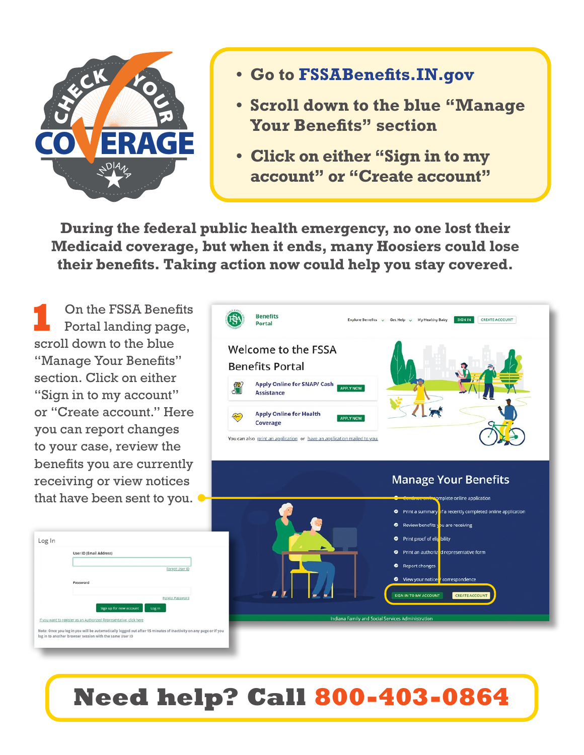

- **• Go to FSSABenefits.IN.gov**
- **• Scroll down to the blue "Manage Your Benefits" section**
- **• Click on either "Sign in to my account" or "Create account"**

**During the federal public health emergency, no one lost their Medicaid coverage, but when it ends, many Hoosiers could lose their benefits. Taking action now could help you stay covered.**

**1** On the FSSA Benefits Portal landing page, scroll down to the blue "Manage Your Benefits" section. Click on either "Sign in to my account" or "Create account." Here you can report changes to your case, review the benefits you are currently receiving or view notices that have been sent to you.



diana Family and Social Services Administration







## **Need help? Call 800-403-0864**